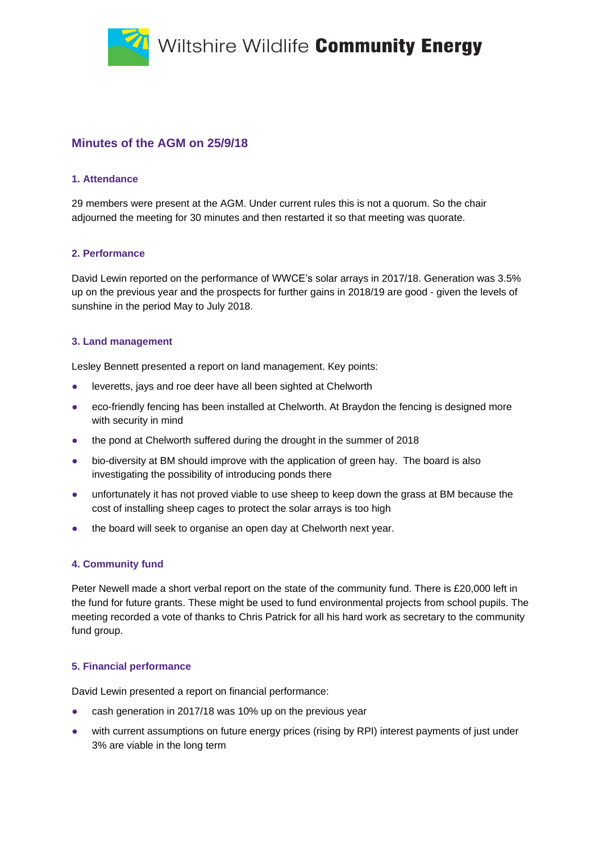Wiltshire Wildlife Community Energy



## **1. Attendance**

29 members were present at the AGM. Under current rules this is not a quorum. So the chair adjourned the meeting for 30 minutes and then restarted it so that meeting was quorate.

## **2. Performance**

David Lewin reported on the performance of WWCE's solar arrays in 2017/18. Generation was 3.5% up on the previous year and the prospects for further gains in 2018/19 are good - given the levels of sunshine in the period May to July 2018.

## **3. Land management**

Lesley Bennett presented a report on land management. Key points:

- leveretts, jays and roe deer have all been sighted at Chelworth
- eco-friendly fencing has been installed at Chelworth. At Braydon the fencing is designed more with security in mind
- the pond at Chelworth suffered during the drought in the summer of 2018
- bio-diversity at BM should improve with the application of green hay. The board is also investigating the possibility of introducing ponds there
- unfortunately it has not proved viable to use sheep to keep down the grass at BM because the cost of installing sheep cages to protect the solar arrays is too high
- the board will seek to organise an open day at Chelworth next year.

# **4. Community fund**

Peter Newell made a short verbal report on the state of the community fund. There is £20,000 left in the fund for future grants. These might be used to fund environmental projects from school pupils. The meeting recorded a vote of thanks to Chris Patrick for all his hard work as secretary to the community fund group.

# **5. Financial performance**

David Lewin presented a report on financial performance:

- cash generation in 2017/18 was 10% up on the previous year
- with current assumptions on future energy prices (rising by RPI) interest payments of just under 3% are viable in the long term